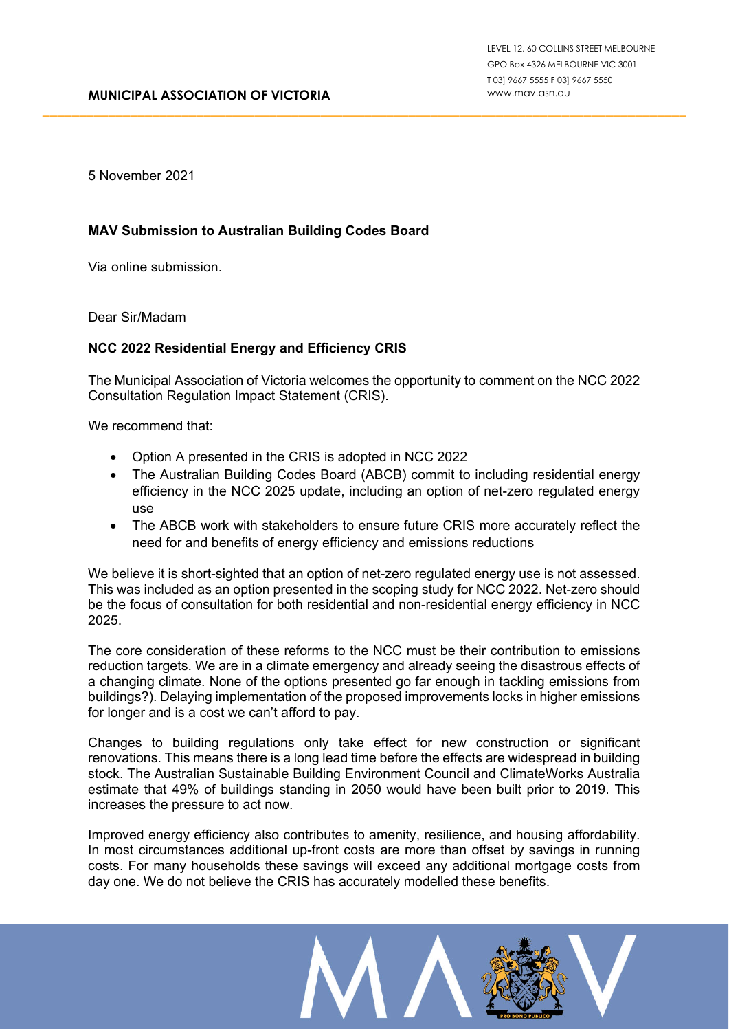5 November 2021

## **MAV Submission to Australian Building Codes Board**

Via online submission.

Dear Sir/Madam

## **NCC 2022 Residential Energy and Efficiency CRIS**

The Municipal Association of Victoria welcomes the opportunity to comment on the NCC 2022 Consultation Regulation Impact Statement (CRIS).

\_\_\_\_\_\_\_\_\_\_\_\_\_\_\_\_\_\_\_\_\_\_\_\_\_\_\_\_\_\_\_\_\_\_\_\_\_\_\_\_\_\_\_\_\_\_\_\_\_\_\_\_\_\_\_\_\_\_\_\_\_\_\_\_\_\_\_\_\_\_\_\_\_\_\_\_\_\_\_\_\_\_\_\_\_\_\_\_

We recommend that:

- Option A presented in the CRIS is adopted in NCC 2022
- The Australian Building Codes Board (ABCB) commit to including residential energy efficiency in the NCC 2025 update, including an option of net-zero regulated energy use
- The ABCB work with stakeholders to ensure future CRIS more accurately reflect the need for and benefits of energy efficiency and emissions reductions

We believe it is short-sighted that an option of net-zero regulated energy use is not assessed. This was included as an option presented in the scoping study for NCC 2022. Net-zero should be the focus of consultation for both residential and non-residential energy efficiency in NCC 2025.

The core consideration of these reforms to the NCC must be their contribution to emissions reduction targets. We are in a climate emergency and already seeing the disastrous effects of a changing climate. None of the options presented go far enough in tackling emissions from buildings?). Delaying implementation of the proposed improvements locks in higher emissions for longer and is a cost we can't afford to pay.

Changes to building regulations only take effect for new construction or significant renovations. This means there is a long lead time before the effects are widespread in building stock. The Australian Sustainable Building Environment Council and ClimateWorks Australia estimate that 49% of buildings standing in 2050 would have been built prior to 2019. This increases the pressure to act now.

Improved energy efficiency also contributes to amenity, resilience, and housing affordability. In most circumstances additional up-front costs are more than offset by savings in running costs. For many households these savings will exceed any additional mortgage costs from day one. We do not believe the CRIS has accurately modelled these benefits.